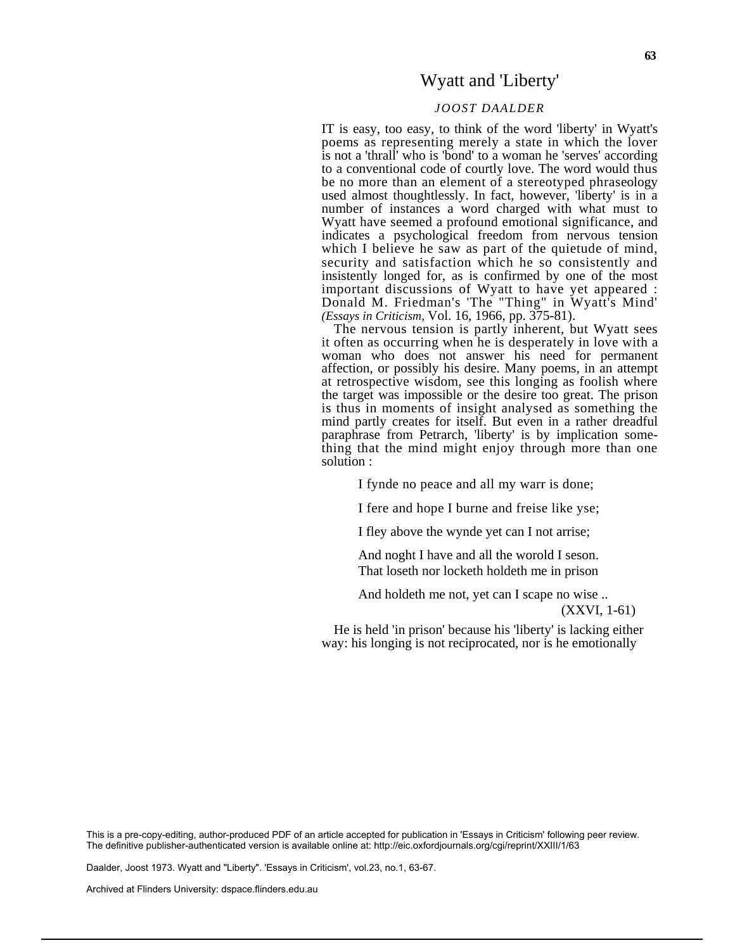## Wyatt and 'Liberty'

## *JOOST DAALDER*

IT is easy, too easy, to think of the word 'liberty' in Wyatt's poems as representing merely a state in which the lover is not a 'thrall' who is 'bond' to a woman he 'serves' according to a conventional code of courtly love. The word would thus be no more than an element of a stereotyped phraseology used almost thoughtlessly. In fact, however, 'liberty' is in a number of instances a word charged with what must to Wyatt have seemed a profound emotional significance, and indicates a psychological freedom from nervous tension which I believe he saw as part of the quietude of mind, security and satisfaction which he so consistently and insistently longed for, as is confirmed by one of the most important discussions of Wyatt to have yet appeared : Donald M. Friedman's 'The "Thing" in Wyatt's Mind' *(Essays in Criticism,* Vol. 16, 1966, pp. 375-81).

The nervous tension is partly inherent, but Wyatt sees it often as occurring when he is desperately in love with a woman who does not answer his need for permanent affection, or possibly his desire. Many poems, in an attempt at retrospective wisdom, see this longing as foolish where the target was impossible or the desire too great. The prison is thus in moments of insight analysed as something the mind partly creates for itself. But even in a rather dreadful paraphrase from Petrarch, 'liberty' is by implication something that the mind might enjoy through more than one solution :

I fynde no peace and all my warr is done;

I fere and hope I burne and freise like yse;

I fley above the wynde yet can I not arrise;

And noght I have and all the worold I seson. That loseth nor locketh holdeth me in prison

And holdeth me not, yet can I scape no wise ..

(XXVI, 1-61)

He is held 'in prison' because his 'liberty' is lacking either way: his longing is not reciprocated, nor is he emotionally

This is a pre-copy-editing, author-produced PDF of an article accepted for publication in 'Essays in Criticism' following peer review. The definitive publisher-authenticated version is available online at: http://eic.oxfordjournals.org/cgi/reprint/XXIII/1/63

Daalder, Joost 1973. Wyatt and "Liberty". 'Essays in Criticism', vol.23, no.1, 63-67.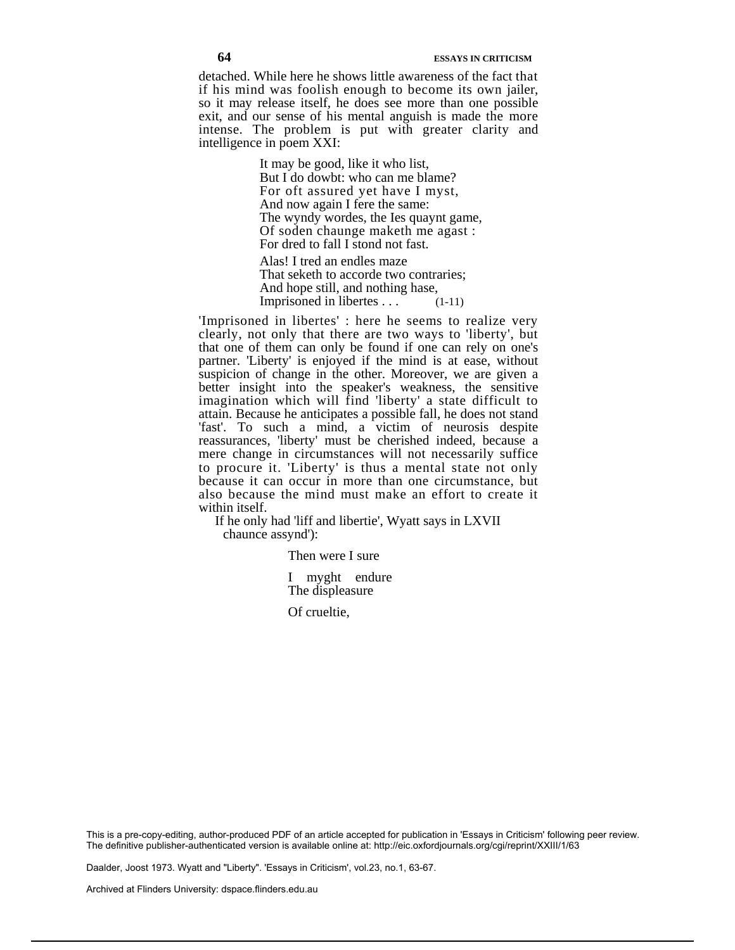detached. While here he shows little awareness of the fact that if his mind was foolish enough to become its own jailer, so it may release itself, he does see more than one possible exit, and our sense of his mental anguish is made the more intense. The problem is put with greater clarity and intelligence in poem XXI:

> It may be good, like it who list, But I do dowbt: who can me blame? For oft assured yet have I myst, And now again I fere the same: The wyndy wordes, the Ies quaynt game, Of soden chaunge maketh me agast : For dred to fall I stond not fast.

Alas! I tred an endles maze That seketh to accorde two contraries; And hope still, and nothing hase, Imprisoned in libertes . . . (1-11)

'Imprisoned in libertes' : here he seems to realize very clearly, not only that there are two ways to 'liberty', but that one of them can only be found if one can rely on one's partner. 'Liberty' is enjoyed if the mind is at ease, without suspicion of change in the other. Moreover, we are given a better insight into the speaker's weakness, the sensitive imagination which will find 'liberty' a state difficult to attain. Because he anticipates a possible fall, he does not stand 'fast'. To such a mind, a victim of neurosis despite reassurances, 'liberty' must be cherished indeed, because a mere change in circumstances will not necessarily suffice to procure it. 'Liberty' is thus a mental state not only because it can occur in more than one circumstance, but also because the mind must make an effort to create it within itself.

If he only had 'liff and libertie', Wyatt says in LXVII chaunce assynd'):

Then were I sure

I myght endure The displeasure

Of crueltie,

This is a pre-copy-editing, author-produced PDF of an article accepted for publication in 'Essays in Criticism' following peer review. The definitive publisher-authenticated version is available online at: http://eic.oxfordjournals.org/cgi/reprint/XXIII/1/63

Daalder, Joost 1973. Wyatt and "Liberty". 'Essays in Criticism', vol.23, no.1, 63-67.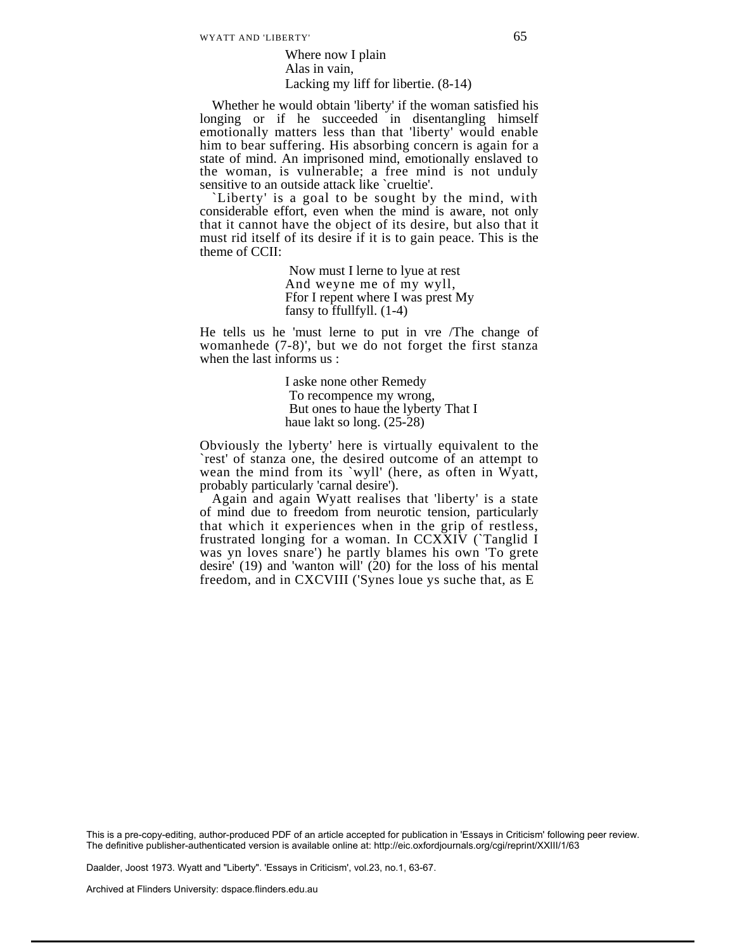## Where now I plain Alas in vain,

Lacking my liff for libertie. (8-14)

Whether he would obtain 'liberty' if the woman satisfied his longing or if he succeeded in disentangling himself emotionally matters less than that 'liberty' would enable him to bear suffering. His absorbing concern is again for a state of mind. An imprisoned mind, emotionally enslaved to the woman, is vulnerable; a free mind is not unduly sensitive to an outside attack like `crueltie'.

`Liberty' is a goal to be sought by the mind, with considerable effort, even when the mind is aware, not only that it cannot have the object of its desire, but also that it must rid itself of its desire if it is to gain peace. This is the theme of CCII:

> Now must I lerne to lyue at rest And weyne me of my wyll, Ffor I repent where I was prest My fansy to ffullfyll. (1-4)

He tells us he 'must lerne to put in vre /The change of womanhede (7-8)', but we do not forget the first stanza when the last informs us :

> I aske none other Remedy To recompence my wrong, But ones to haue the lyberty That I haue lakt so long. (25-28)

Obviously the lyberty' here is virtually equivalent to the `rest' of stanza one, the desired outcome of an attempt to wean the mind from its `wyll' (here, as often in Wyatt, probably particularly 'carnal desire').

Again and again Wyatt realises that 'liberty' is a state of mind due to freedom from neurotic tension, particularly that which it experiences when in the grip of restless, frustrated longing for a woman. In CCXXIV (`Tanglid I was yn loves snare') he partly blames his own 'To grete desire'  $(19)$  and 'wanton will'  $(20)$  for the loss of his mental freedom, and in CXCVIII ('Synes loue ys suche that, as E

This is a pre-copy-editing, author-produced PDF of an article accepted for publication in 'Essays in Criticism' following peer review. The definitive publisher-authenticated version is available online at: http://eic.oxfordjournals.org/cgi/reprint/XXIII/1/63

Daalder, Joost 1973. Wyatt and "Liberty". 'Essays in Criticism', vol.23, no.1, 63-67.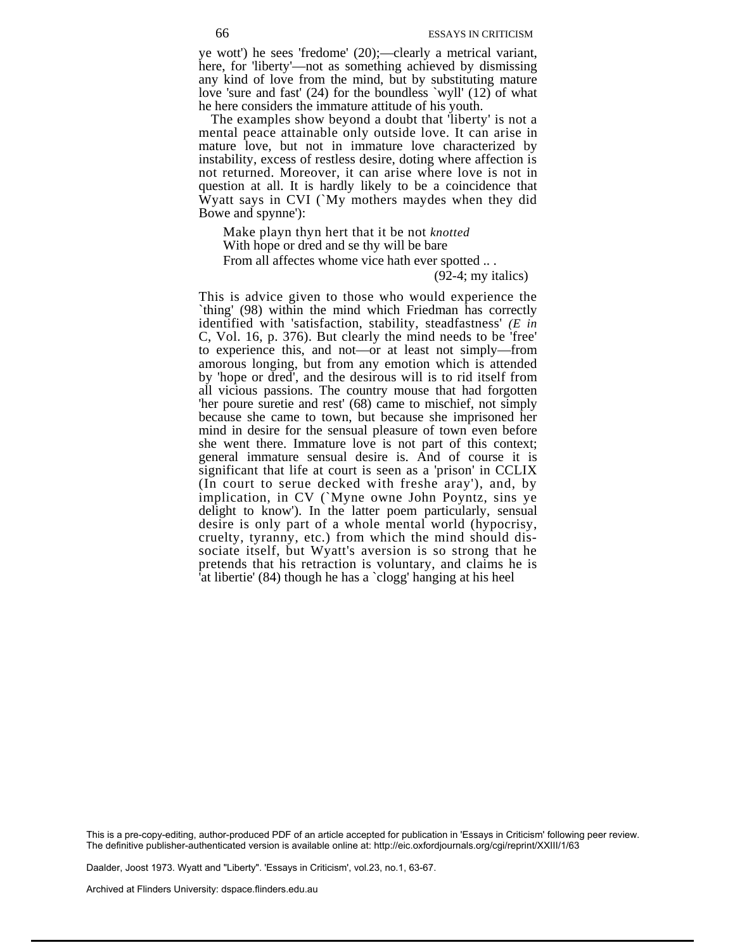ye wott') he sees 'fredome' (20);—clearly a metrical variant, here, for 'liberty'—not as something achieved by dismissing any kind of love from the mind, but by substituting mature love 'sure and fast' (24) for the boundless `wyll' (12) of what he here considers the immature attitude of his youth.

The examples show beyond a doubt that 'liberty' is not a mental peace attainable only outside love. It can arise in mature love, but not in immature love characterized by instability, excess of restless desire, doting where affection is not returned. Moreover, it can arise where love is not in question at all. It is hardly likely to be a coincidence that Wyatt says in CVI (`My mothers maydes when they did Bowe and spynne'):

Make playn thyn hert that it be not *knotted*  With hope or dred and se thy will be bare From all affectes whome vice hath ever spotted .. .

(92-4; my italics)

This is advice given to those who would experience the `thing' (98) within the mind which Friedman has correctly identified with 'satisfaction, stability, steadfastness' *(E in*  C, Vol. 16, p. 376). But clearly the mind needs to be 'free' to experience this, and not—or at least not simply—from amorous longing, but from any emotion which is attended by 'hope or dred', and the desirous will is to rid itself from all vicious passions. The country mouse that had forgotten 'her poure suretie and rest' (68) came to mischief, not simply because she came to town, but because she imprisoned her mind in desire for the sensual pleasure of town even before she went there. Immature love is not part of this context; general immature sensual desire is. And of course it is significant that life at court is seen as a 'prison' in CCLIX (In court to serue decked with freshe aray'), and, by implication, in CV (`Myne owne John Poyntz, sins ye delight to know'). In the latter poem particularly, sensual desire is only part of a whole mental world (hypocrisy, cruelty, tyranny, etc.) from which the mind should dissociate itself, but Wyatt's aversion is so strong that he pretends that his retraction is voluntary, and claims he is 'at libertie' (84) though he has a `clogg' hanging at his heel

This is a pre-copy-editing, author-produced PDF of an article accepted for publication in 'Essays in Criticism' following peer review. The definitive publisher-authenticated version is available online at: http://eic.oxfordjournals.org/cgi/reprint/XXIII/1/63

Daalder, Joost 1973. Wyatt and "Liberty". 'Essays in Criticism', vol.23, no.1, 63-67.